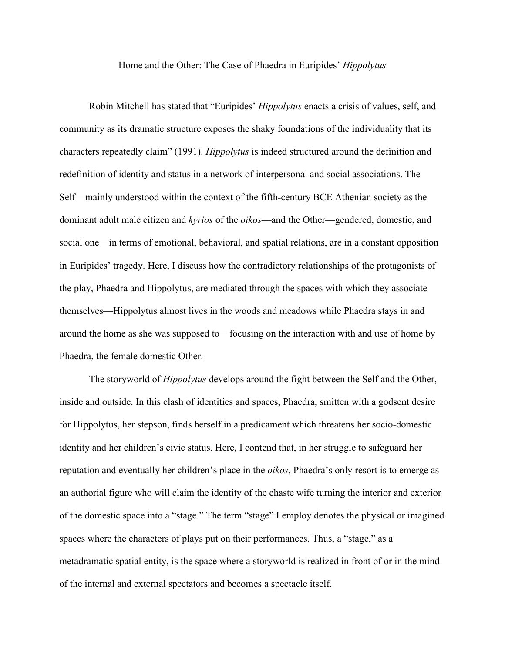## Home and the Other: The Case of Phaedra in Euripides' *Hippolytus*

Robin Mitchell has stated that "Euripides' *Hippolytus* enacts a crisis of values, self, and community as its dramatic structure exposes the shaky foundations of the individuality that its characters repeatedly claim" (1991). *Hippolytus* is indeed structured around the definition and redefinition of identity and status in a network of interpersonal and social associations. The Self—mainly understood within the context of the fifth-century BCE Athenian society as the dominant adult male citizen and *kyrios* of the *oikos*—and the Other—gendered, domestic, and social one—in terms of emotional, behavioral, and spatial relations, are in a constant opposition in Euripides' tragedy. Here, I discuss how the contradictory relationships of the protagonists of the play, Phaedra and Hippolytus, are mediated through the spaces with which they associate themselves—Hippolytus almost lives in the woods and meadows while Phaedra stays in and around the home as she was supposed to—focusing on the interaction with and use of home by Phaedra, the female domestic Other.

The storyworld of *Hippolytus* develops around the fight between the Self and the Other, inside and outside. In this clash of identities and spaces, Phaedra, smitten with a godsent desire for Hippolytus, her stepson, finds herself in a predicament which threatens her socio-domestic identity and her children's civic status. Here, I contend that, in her struggle to safeguard her reputation and eventually her children's place in the *oikos*, Phaedra's only resort is to emerge as an authorial figure who will claim the identity of the chaste wife turning the interior and exterior of the domestic space into a "stage." The term "stage" I employ denotes the physical or imagined spaces where the characters of plays put on their performances. Thus, a "stage," as a metadramatic spatial entity, is the space where a storyworld is realized in front of or in the mind of the internal and external spectators and becomes a spectacle itself.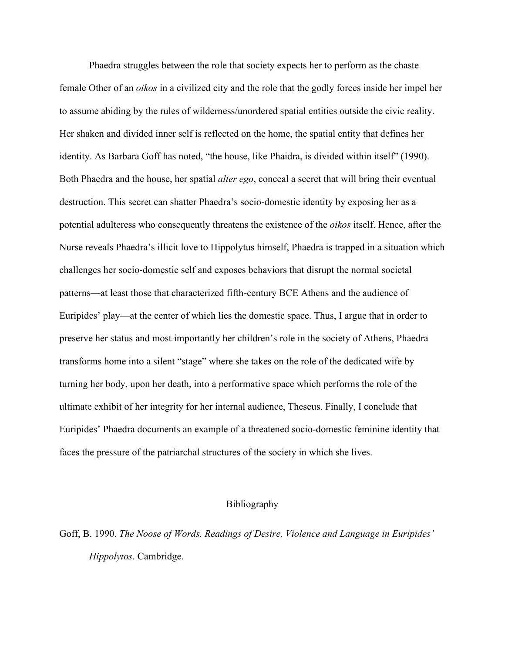Phaedra struggles between the role that society expects her to perform as the chaste female Other of an *oikos* in a civilized city and the role that the godly forces inside her impel her to assume abiding by the rules of wilderness/unordered spatial entities outside the civic reality. Her shaken and divided inner self is reflected on the home, the spatial entity that defines her identity. As Barbara Goff has noted, "the house, like Phaidra, is divided within itself" (1990). Both Phaedra and the house, her spatial *alter ego*, conceal a secret that will bring their eventual destruction. This secret can shatter Phaedra's socio-domestic identity by exposing her as a potential adulteress who consequently threatens the existence of the *oikos* itself. Hence, after the Nurse reveals Phaedra's illicit love to Hippolytus himself, Phaedra is trapped in a situation which challenges her socio-domestic self and exposes behaviors that disrupt the normal societal patterns—at least those that characterized fifth-century BCE Athens and the audience of Euripides' play—at the center of which lies the domestic space. Thus, I argue that in order to preserve her status and most importantly her children's role in the society of Athens, Phaedra transforms home into a silent "stage" where she takes on the role of the dedicated wife by turning her body, upon her death, into a performative space which performs the role of the ultimate exhibit of her integrity for her internal audience, Theseus. Finally, I conclude that Euripides' Phaedra documents an example of a threatened socio-domestic feminine identity that faces the pressure of the patriarchal structures of the society in which she lives.

## Bibliography

Goff, B. 1990. *The Noose of Words. Readings of Desire, Violence and Language in Euripides' Hippolytos*. Cambridge.